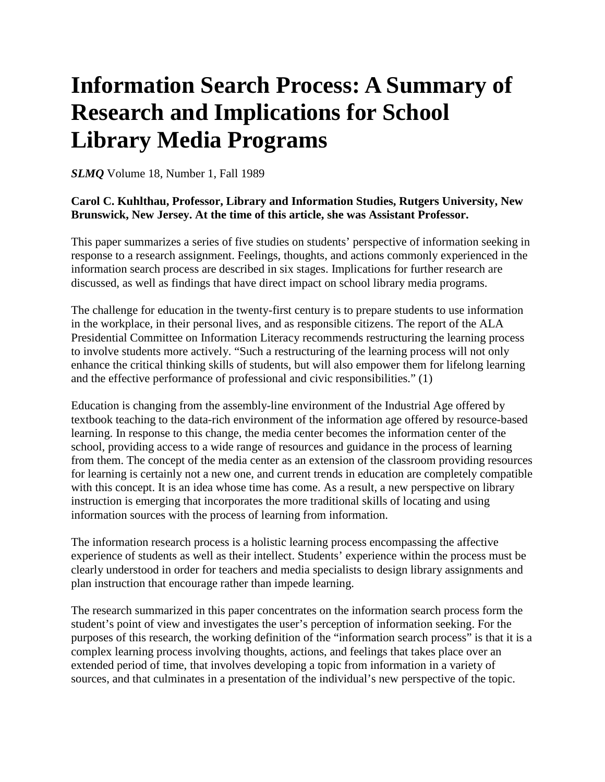# **Information Search Process: A Summary of Research and Implications for School Library Media Programs**

*SLMQ* Volume 18, Number 1, Fall 1989

#### **Carol C. Kuhlthau, Professor, Library and Information Studies, Rutgers University, New Brunswick, New Jersey. At the time of this article, she was Assistant Professor.**

This paper summarizes a series of five studies on students' perspective of information seeking in response to a research assignment. Feelings, thoughts, and actions commonly experienced in the information search process are described in six stages. Implications for further research are discussed, as well as findings that have direct impact on school library media programs.

The challenge for education in the twenty-first century is to prepare students to use information in the workplace, in their personal lives, and as responsible citizens. The report of the ALA Presidential Committee on Information Literacy recommends restructuring the learning process to involve students more actively. "Such a restructuring of the learning process will not only enhance the critical thinking skills of students, but will also empower them for lifelong learning and the effective performance of professional and civic responsibilities." (1)

Education is changing from the assembly-line environment of the Industrial Age offered by textbook teaching to the data-rich environment of the information age offered by resource-based learning. In response to this change, the media center becomes the information center of the school, providing access to a wide range of resources and guidance in the process of learning from them. The concept of the media center as an extension of the classroom providing resources for learning is certainly not a new one, and current trends in education are completely compatible with this concept. It is an idea whose time has come. As a result, a new perspective on library instruction is emerging that incorporates the more traditional skills of locating and using information sources with the process of learning from information.

The information research process is a holistic learning process encompassing the affective experience of students as well as their intellect. Students' experience within the process must be clearly understood in order for teachers and media specialists to design library assignments and plan instruction that encourage rather than impede learning.

The research summarized in this paper concentrates on the information search process form the student's point of view and investigates the user's perception of information seeking. For the purposes of this research, the working definition of the "information search process" is that it is a complex learning process involving thoughts, actions, and feelings that takes place over an extended period of time, that involves developing a topic from information in a variety of sources, and that culminates in a presentation of the individual's new perspective of the topic.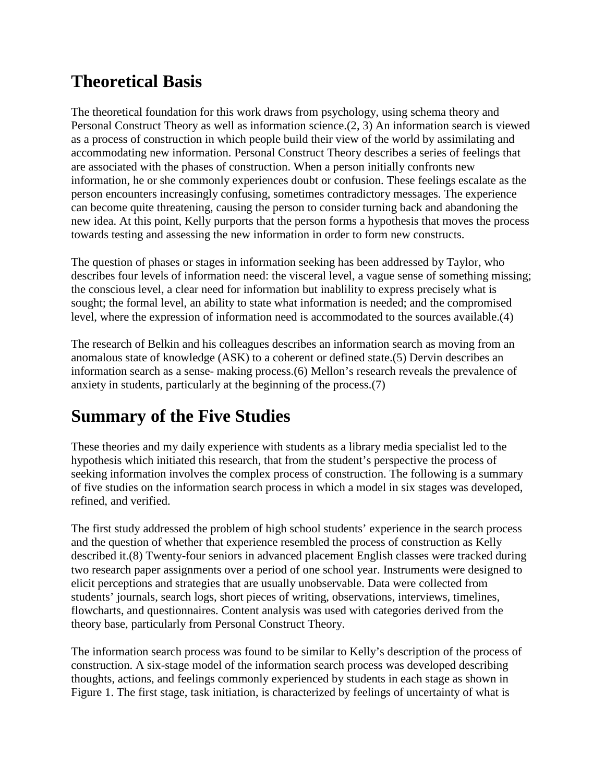# **Theoretical Basis**

The theoretical foundation for this work draws from psychology, using schema theory and Personal Construct Theory as well as information science.(2, 3) An information search is viewed as a process of construction in which people build their view of the world by assimilating and accommodating new information. Personal Construct Theory describes a series of feelings that are associated with the phases of construction. When a person initially confronts new information, he or she commonly experiences doubt or confusion. These feelings escalate as the person encounters increasingly confusing, sometimes contradictory messages. The experience can become quite threatening, causing the person to consider turning back and abandoning the new idea. At this point, Kelly purports that the person forms a hypothesis that moves the process towards testing and assessing the new information in order to form new constructs.

The question of phases or stages in information seeking has been addressed by Taylor, who describes four levels of information need: the visceral level, a vague sense of something missing; the conscious level, a clear need for information but inablility to express precisely what is sought; the formal level, an ability to state what information is needed; and the compromised level, where the expression of information need is accommodated to the sources available.(4)

The research of Belkin and his colleagues describes an information search as moving from an anomalous state of knowledge (ASK) to a coherent or defined state.(5) Dervin describes an information search as a sense- making process.(6) Mellon's research reveals the prevalence of anxiety in students, particularly at the beginning of the process.(7)

# **Summary of the Five Studies**

These theories and my daily experience with students as a library media specialist led to the hypothesis which initiated this research, that from the student's perspective the process of seeking information involves the complex process of construction. The following is a summary of five studies on the information search process in which a model in six stages was developed, refined, and verified.

The first study addressed the problem of high school students' experience in the search process and the question of whether that experience resembled the process of construction as Kelly described it.(8) Twenty-four seniors in advanced placement English classes were tracked during two research paper assignments over a period of one school year. Instruments were designed to elicit perceptions and strategies that are usually unobservable. Data were collected from students' journals, search logs, short pieces of writing, observations, interviews, timelines, flowcharts, and questionnaires. Content analysis was used with categories derived from the theory base, particularly from Personal Construct Theory.

The information search process was found to be similar to Kelly's description of the process of construction. A six-stage model of the information search process was developed describing thoughts, actions, and feelings commonly experienced by students in each stage as shown in Figure 1. The first stage, task initiation, is characterized by feelings of uncertainty of what is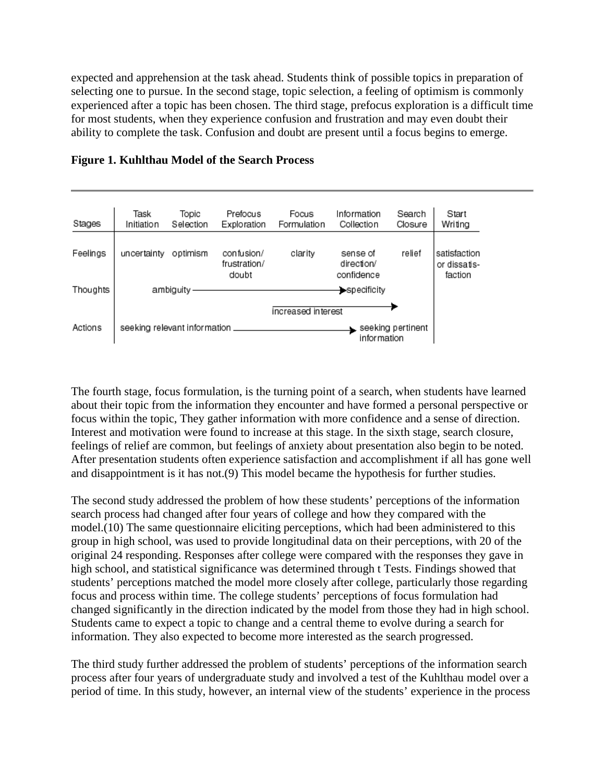expected and apprehension at the task ahead. Students think of possible topics in preparation of selecting one to pursue. In the second stage, topic selection, a feeling of optimism is commonly experienced after a topic has been chosen. The third stage, prefocus exploration is a difficult time for most students, when they experience confusion and frustration and may even doubt their ability to complete the task. Confusion and doubt are present until a focus begins to emerge.

| Stages   | Task<br>Initiation           | Topic<br>Selection | Prefocus<br>Exploration             | Focus<br>Formulation | Information<br>Collection            | Search<br>Closure | Start<br>Writing                        |
|----------|------------------------------|--------------------|-------------------------------------|----------------------|--------------------------------------|-------------------|-----------------------------------------|
| Feelings | uncertainty                  | optimism           | confusion/<br>frustration/<br>doubt | clarity              | sense of<br>direction/<br>confidence | relief            | satisfaction<br>or dissatis-<br>faction |
| Thoughts | ambiguity                    |                    |                                     |                      | specificity                          |                   |                                         |
|          |                              |                    |                                     | increased interest   |                                      |                   |                                         |
| Actions  | seeking relevant information |                    |                                     |                      |                                      |                   |                                         |

#### **Figure 1. Kuhlthau Model of the Search Process**

The fourth stage, focus formulation, is the turning point of a search, when students have learned about their topic from the information they encounter and have formed a personal perspective or focus within the topic, They gather information with more confidence and a sense of direction. Interest and motivation were found to increase at this stage. In the sixth stage, search closure, feelings of relief are common, but feelings of anxiety about presentation also begin to be noted. After presentation students often experience satisfaction and accomplishment if all has gone well and disappointment is it has not.(9) This model became the hypothesis for further studies.

The second study addressed the problem of how these students' perceptions of the information search process had changed after four years of college and how they compared with the model.(10) The same questionnaire eliciting perceptions, which had been administered to this group in high school, was used to provide longitudinal data on their perceptions, with 20 of the original 24 responding. Responses after college were compared with the responses they gave in high school, and statistical significance was determined through t Tests. Findings showed that students' perceptions matched the model more closely after college, particularly those regarding focus and process within time. The college students' perceptions of focus formulation had changed significantly in the direction indicated by the model from those they had in high school. Students came to expect a topic to change and a central theme to evolve during a search for information. They also expected to become more interested as the search progressed.

The third study further addressed the problem of students' perceptions of the information search process after four years of undergraduate study and involved a test of the Kuhlthau model over a period of time. In this study, however, an internal view of the students' experience in the process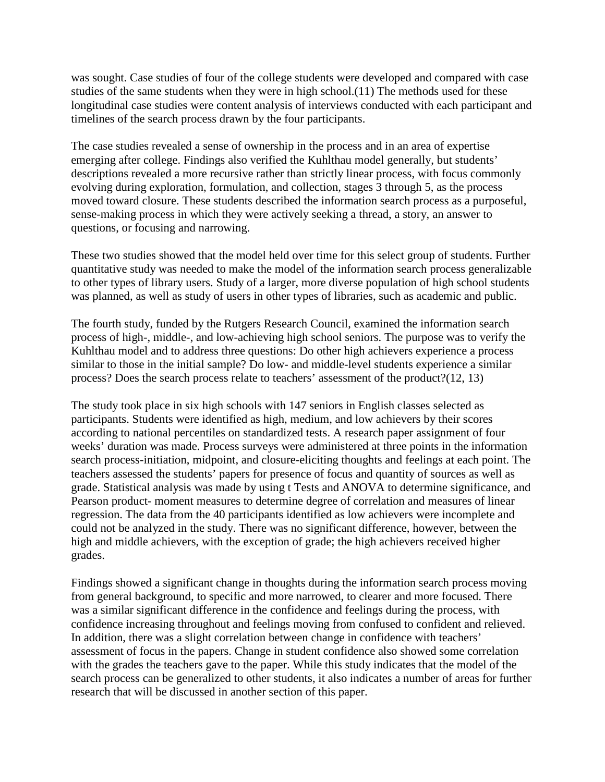was sought. Case studies of four of the college students were developed and compared with case studies of the same students when they were in high school.(11) The methods used for these longitudinal case studies were content analysis of interviews conducted with each participant and timelines of the search process drawn by the four participants.

The case studies revealed a sense of ownership in the process and in an area of expertise emerging after college. Findings also verified the Kuhlthau model generally, but students' descriptions revealed a more recursive rather than strictly linear process, with focus commonly evolving during exploration, formulation, and collection, stages 3 through 5, as the process moved toward closure. These students described the information search process as a purposeful, sense-making process in which they were actively seeking a thread, a story, an answer to questions, or focusing and narrowing.

These two studies showed that the model held over time for this select group of students. Further quantitative study was needed to make the model of the information search process generalizable to other types of library users. Study of a larger, more diverse population of high school students was planned, as well as study of users in other types of libraries, such as academic and public.

The fourth study, funded by the Rutgers Research Council, examined the information search process of high-, middle-, and low-achieving high school seniors. The purpose was to verify the Kuhlthau model and to address three questions: Do other high achievers experience a process similar to those in the initial sample? Do low- and middle-level students experience a similar process? Does the search process relate to teachers' assessment of the product?(12, 13)

The study took place in six high schools with 147 seniors in English classes selected as participants. Students were identified as high, medium, and low achievers by their scores according to national percentiles on standardized tests. A research paper assignment of four weeks' duration was made. Process surveys were administered at three points in the information search process-initiation, midpoint, and closure-eliciting thoughts and feelings at each point. The teachers assessed the students' papers for presence of focus and quantity of sources as well as grade. Statistical analysis was made by using t Tests and ANOVA to determine significance, and Pearson product- moment measures to determine degree of correlation and measures of linear regression. The data from the 40 participants identified as low achievers were incomplete and could not be analyzed in the study. There was no significant difference, however, between the high and middle achievers, with the exception of grade; the high achievers received higher grades.

Findings showed a significant change in thoughts during the information search process moving from general background, to specific and more narrowed, to clearer and more focused. There was a similar significant difference in the confidence and feelings during the process, with confidence increasing throughout and feelings moving from confused to confident and relieved. In addition, there was a slight correlation between change in confidence with teachers' assessment of focus in the papers. Change in student confidence also showed some correlation with the grades the teachers gave to the paper. While this study indicates that the model of the search process can be generalized to other students, it also indicates a number of areas for further research that will be discussed in another section of this paper.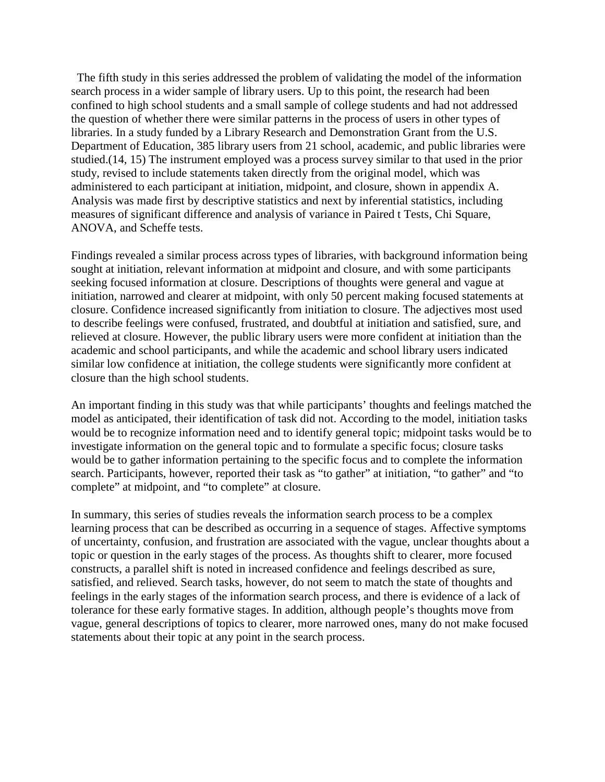The fifth study in this series addressed the problem of validating the model of the information search process in a wider sample of library users. Up to this point, the research had been confined to high school students and a small sample of college students and had not addressed the question of whether there were similar patterns in the process of users in other types of libraries. In a study funded by a Library Research and Demonstration Grant from the U.S. Department of Education, 385 library users from 21 school, academic, and public libraries were studied.(14, 15) The instrument employed was a process survey similar to that used in the prior study, revised to include statements taken directly from the original model, which was administered to each participant at initiation, midpoint, and closure, shown in appendix A. Analysis was made first by descriptive statistics and next by inferential statistics, including measures of significant difference and analysis of variance in Paired t Tests, Chi Square, ANOVA, and Scheffe tests.

Findings revealed a similar process across types of libraries, with background information being sought at initiation, relevant information at midpoint and closure, and with some participants seeking focused information at closure. Descriptions of thoughts were general and vague at initiation, narrowed and clearer at midpoint, with only 50 percent making focused statements at closure. Confidence increased significantly from initiation to closure. The adjectives most used to describe feelings were confused, frustrated, and doubtful at initiation and satisfied, sure, and relieved at closure. However, the public library users were more confident at initiation than the academic and school participants, and while the academic and school library users indicated similar low confidence at initiation, the college students were significantly more confident at closure than the high school students.

An important finding in this study was that while participants' thoughts and feelings matched the model as anticipated, their identification of task did not. According to the model, initiation tasks would be to recognize information need and to identify general topic; midpoint tasks would be to investigate information on the general topic and to formulate a specific focus; closure tasks would be to gather information pertaining to the specific focus and to complete the information search. Participants, however, reported their task as "to gather" at initiation, "to gather" and "to complete" at midpoint, and "to complete" at closure.

In summary, this series of studies reveals the information search process to be a complex learning process that can be described as occurring in a sequence of stages. Affective symptoms of uncertainty, confusion, and frustration are associated with the vague, unclear thoughts about a topic or question in the early stages of the process. As thoughts shift to clearer, more focused constructs, a parallel shift is noted in increased confidence and feelings described as sure, satisfied, and relieved. Search tasks, however, do not seem to match the state of thoughts and feelings in the early stages of the information search process, and there is evidence of a lack of tolerance for these early formative stages. In addition, although people's thoughts move from vague, general descriptions of topics to clearer, more narrowed ones, many do not make focused statements about their topic at any point in the search process.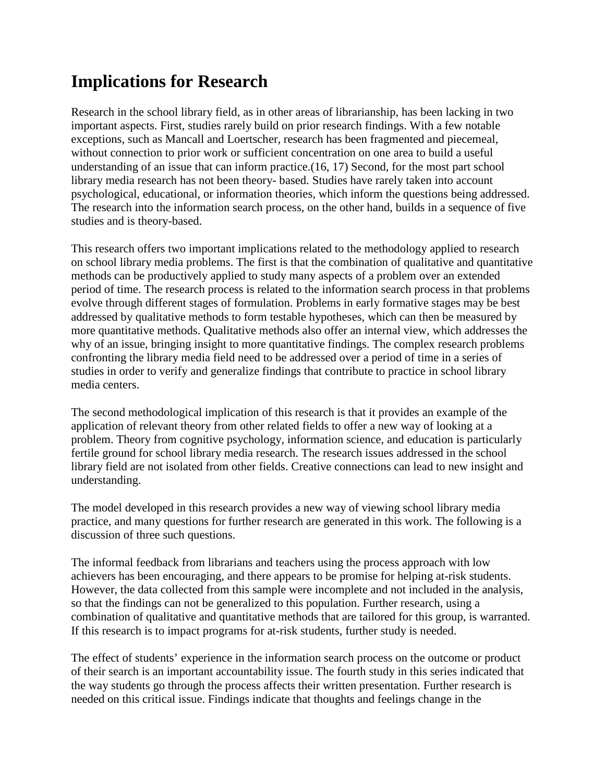# **Implications for Research**

Research in the school library field, as in other areas of librarianship, has been lacking in two important aspects. First, studies rarely build on prior research findings. With a few notable exceptions, such as Mancall and Loertscher, research has been fragmented and piecemeal, without connection to prior work or sufficient concentration on one area to build a useful understanding of an issue that can inform practice.(16, 17) Second, for the most part school library media research has not been theory- based. Studies have rarely taken into account psychological, educational, or information theories, which inform the questions being addressed. The research into the information search process, on the other hand, builds in a sequence of five studies and is theory-based.

This research offers two important implications related to the methodology applied to research on school library media problems. The first is that the combination of qualitative and quantitative methods can be productively applied to study many aspects of a problem over an extended period of time. The research process is related to the information search process in that problems evolve through different stages of formulation. Problems in early formative stages may be best addressed by qualitative methods to form testable hypotheses, which can then be measured by more quantitative methods. Qualitative methods also offer an internal view, which addresses the why of an issue, bringing insight to more quantitative findings. The complex research problems confronting the library media field need to be addressed over a period of time in a series of studies in order to verify and generalize findings that contribute to practice in school library media centers.

The second methodological implication of this research is that it provides an example of the application of relevant theory from other related fields to offer a new way of looking at a problem. Theory from cognitive psychology, information science, and education is particularly fertile ground for school library media research. The research issues addressed in the school library field are not isolated from other fields. Creative connections can lead to new insight and understanding.

The model developed in this research provides a new way of viewing school library media practice, and many questions for further research are generated in this work. The following is a discussion of three such questions.

The informal feedback from librarians and teachers using the process approach with low achievers has been encouraging, and there appears to be promise for helping at-risk students. However, the data collected from this sample were incomplete and not included in the analysis, so that the findings can not be generalized to this population. Further research, using a combination of qualitative and quantitative methods that are tailored for this group, is warranted. If this research is to impact programs for at-risk students, further study is needed.

The effect of students' experience in the information search process on the outcome or product of their search is an important accountability issue. The fourth study in this series indicated that the way students go through the process affects their written presentation. Further research is needed on this critical issue. Findings indicate that thoughts and feelings change in the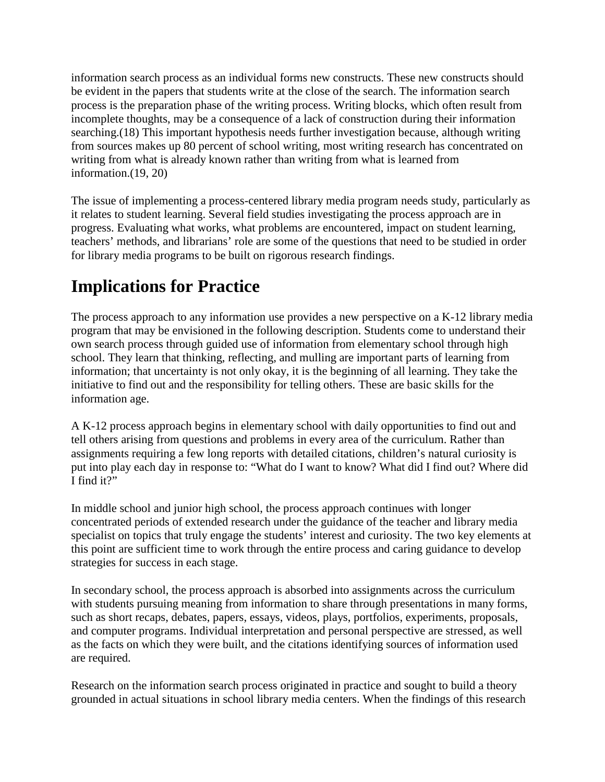information search process as an individual forms new constructs. These new constructs should be evident in the papers that students write at the close of the search. The information search process is the preparation phase of the writing process. Writing blocks, which often result from incomplete thoughts, may be a consequence of a lack of construction during their information searching.(18) This important hypothesis needs further investigation because, although writing from sources makes up 80 percent of school writing, most writing research has concentrated on writing from what is already known rather than writing from what is learned from information.(19, 20)

The issue of implementing a process-centered library media program needs study, particularly as it relates to student learning. Several field studies investigating the process approach are in progress. Evaluating what works, what problems are encountered, impact on student learning, teachers' methods, and librarians' role are some of the questions that need to be studied in order for library media programs to be built on rigorous research findings.

# **Implications for Practice**

The process approach to any information use provides a new perspective on a K-12 library media program that may be envisioned in the following description. Students come to understand their own search process through guided use of information from elementary school through high school. They learn that thinking, reflecting, and mulling are important parts of learning from information; that uncertainty is not only okay, it is the beginning of all learning. They take the initiative to find out and the responsibility for telling others. These are basic skills for the information age.

A K-12 process approach begins in elementary school with daily opportunities to find out and tell others arising from questions and problems in every area of the curriculum. Rather than assignments requiring a few long reports with detailed citations, children's natural curiosity is put into play each day in response to: "What do I want to know? What did I find out? Where did I find it?"

In middle school and junior high school, the process approach continues with longer concentrated periods of extended research under the guidance of the teacher and library media specialist on topics that truly engage the students' interest and curiosity. The two key elements at this point are sufficient time to work through the entire process and caring guidance to develop strategies for success in each stage.

In secondary school, the process approach is absorbed into assignments across the curriculum with students pursuing meaning from information to share through presentations in many forms, such as short recaps, debates, papers, essays, videos, plays, portfolios, experiments, proposals, and computer programs. Individual interpretation and personal perspective are stressed, as well as the facts on which they were built, and the citations identifying sources of information used are required.

Research on the information search process originated in practice and sought to build a theory grounded in actual situations in school library media centers. When the findings of this research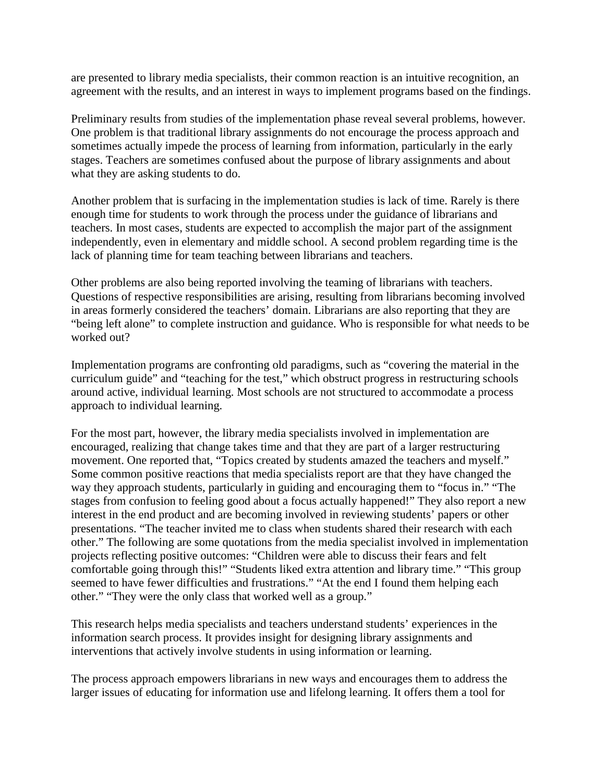are presented to library media specialists, their common reaction is an intuitive recognition, an agreement with the results, and an interest in ways to implement programs based on the findings.

Preliminary results from studies of the implementation phase reveal several problems, however. One problem is that traditional library assignments do not encourage the process approach and sometimes actually impede the process of learning from information, particularly in the early stages. Teachers are sometimes confused about the purpose of library assignments and about what they are asking students to do.

Another problem that is surfacing in the implementation studies is lack of time. Rarely is there enough time for students to work through the process under the guidance of librarians and teachers. In most cases, students are expected to accomplish the major part of the assignment independently, even in elementary and middle school. A second problem regarding time is the lack of planning time for team teaching between librarians and teachers.

Other problems are also being reported involving the teaming of librarians with teachers. Questions of respective responsibilities are arising, resulting from librarians becoming involved in areas formerly considered the teachers' domain. Librarians are also reporting that they are "being left alone" to complete instruction and guidance. Who is responsible for what needs to be worked out?

Implementation programs are confronting old paradigms, such as "covering the material in the curriculum guide" and "teaching for the test," which obstruct progress in restructuring schools around active, individual learning. Most schools are not structured to accommodate a process approach to individual learning.

For the most part, however, the library media specialists involved in implementation are encouraged, realizing that change takes time and that they are part of a larger restructuring movement. One reported that, "Topics created by students amazed the teachers and myself." Some common positive reactions that media specialists report are that they have changed the way they approach students, particularly in guiding and encouraging them to "focus in." "The stages from confusion to feeling good about a focus actually happened!" They also report a new interest in the end product and are becoming involved in reviewing students' papers or other presentations. "The teacher invited me to class when students shared their research with each other." The following are some quotations from the media specialist involved in implementation projects reflecting positive outcomes: "Children were able to discuss their fears and felt comfortable going through this!" "Students liked extra attention and library time." "This group seemed to have fewer difficulties and frustrations." "At the end I found them helping each other." "They were the only class that worked well as a group."

This research helps media specialists and teachers understand students' experiences in the information search process. It provides insight for designing library assignments and interventions that actively involve students in using information or learning.

The process approach empowers librarians in new ways and encourages them to address the larger issues of educating for information use and lifelong learning. It offers them a tool for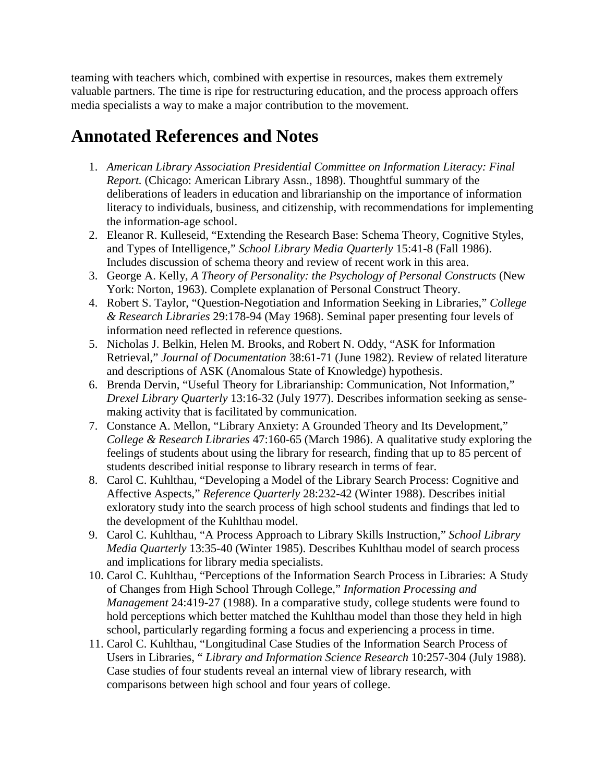teaming with teachers which, combined with expertise in resources, makes them extremely valuable partners. The time is ripe for restructuring education, and the process approach offers media specialists a way to make a major contribution to the movement.

# **Annotated References and Notes**

- 1. *American Library Association Presidential Committee on Information Literacy: Final Report.* (Chicago: American Library Assn., 1898). Thoughtful summary of the deliberations of leaders in education and librarianship on the importance of information literacy to individuals, business, and citizenship, with recommendations for implementing the information-age school.
- 2. Eleanor R. Kulleseid, "Extending the Research Base: Schema Theory, Cognitive Styles, and Types of Intelligence," *School Library Media Quarterly* 15:41-8 (Fall 1986). Includes discussion of schema theory and review of recent work in this area.
- 3. George A. Kelly, *A Theory of Personality: the Psychology of Personal Constructs* (New York: Norton, 1963). Complete explanation of Personal Construct Theory.
- 4. Robert S. Taylor, "Question-Negotiation and Information Seeking in Libraries," *College & Research Libraries* 29:178-94 (May 1968). Seminal paper presenting four levels of information need reflected in reference questions.
- 5. Nicholas J. Belkin, Helen M. Brooks, and Robert N. Oddy, "ASK for Information Retrieval," *Journal of Documentation* 38:61-71 (June 1982). Review of related literature and descriptions of ASK (Anomalous State of Knowledge) hypothesis.
- 6. Brenda Dervin, "Useful Theory for Librarianship: Communication, Not Information," *Drexel Library Quarterly* 13:16-32 (July 1977). Describes information seeking as sensemaking activity that is facilitated by communication.
- 7. Constance A. Mellon, "Library Anxiety: A Grounded Theory and Its Development," *College & Research Libraries* 47:160-65 (March 1986). A qualitative study exploring the feelings of students about using the library for research, finding that up to 85 percent of students described initial response to library research in terms of fear.
- 8. Carol C. Kuhlthau, "Developing a Model of the Library Search Process: Cognitive and Affective Aspects," *Reference Quarterly* 28:232-42 (Winter 1988). Describes initial exloratory study into the search process of high school students and findings that led to the development of the Kuhlthau model.
- 9. Carol C. Kuhlthau, "A Process Approach to Library Skills Instruction," *School Library Media Quarterly* 13:35-40 (Winter 1985). Describes Kuhlthau model of search process and implications for library media specialists.
- 10. Carol C. Kuhlthau, "Perceptions of the Information Search Process in Libraries: A Study of Changes from High School Through College," *Information Processing and Management* 24:419-27 (1988). In a comparative study, college students were found to hold perceptions which better matched the Kuhlthau model than those they held in high school, particularly regarding forming a focus and experiencing a process in time.
- 11. Carol C. Kuhlthau, "Longitudinal Case Studies of the Information Search Process of Users in Libraries, " *Library and Information Science Research* 10:257-304 (July 1988). Case studies of four students reveal an internal view of library research, with comparisons between high school and four years of college.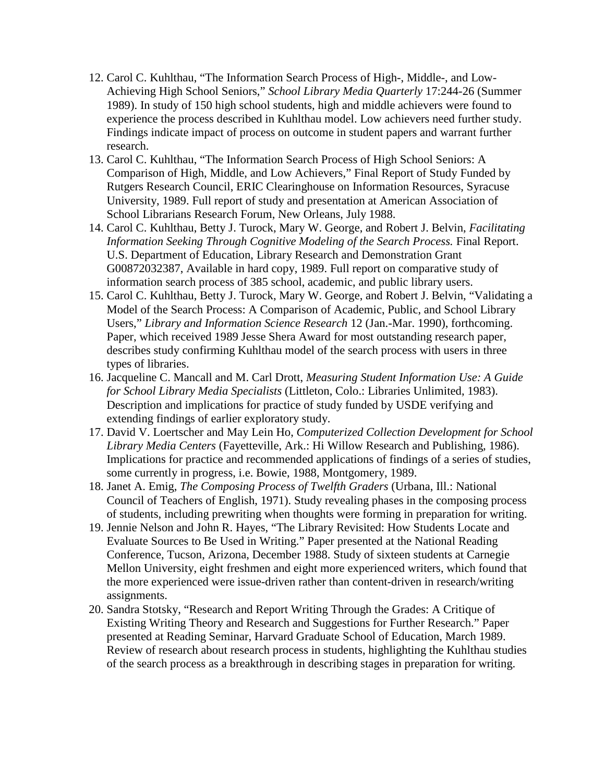- 12. Carol C. Kuhlthau, "The Information Search Process of High-, Middle-, and Low-Achieving High School Seniors," *School Library Media Quarterly* 17:244-26 (Summer 1989). In study of 150 high school students, high and middle achievers were found to experience the process described in Kuhlthau model. Low achievers need further study. Findings indicate impact of process on outcome in student papers and warrant further research.
- 13. Carol C. Kuhlthau, "The Information Search Process of High School Seniors: A Comparison of High, Middle, and Low Achievers," Final Report of Study Funded by Rutgers Research Council, ERIC Clearinghouse on Information Resources, Syracuse University, 1989. Full report of study and presentation at American Association of School Librarians Research Forum, New Orleans, July 1988.
- 14. Carol C. Kuhlthau, Betty J. Turock, Mary W. George, and Robert J. Belvin, *Facilitating Information Seeking Through Cognitive Modeling of the Search Process.* Final Report. U.S. Department of Education, Library Research and Demonstration Grant G00872032387, Available in hard copy, 1989. Full report on comparative study of information search process of 385 school, academic, and public library users.
- 15. Carol C. Kuhlthau, Betty J. Turock, Mary W. George, and Robert J. Belvin, "Validating a Model of the Search Process: A Comparison of Academic, Public, and School Library Users," *Library and Information Science Research* 12 (Jan.-Mar. 1990), forthcoming. Paper, which received 1989 Jesse Shera Award for most outstanding research paper, describes study confirming Kuhlthau model of the search process with users in three types of libraries.
- 16. Jacqueline C. Mancall and M. Carl Drott, *Measuring Student Information Use: A Guide for School Library Media Specialists* (Littleton, Colo.: Libraries Unlimited, 1983). Description and implications for practice of study funded by USDE verifying and extending findings of earlier exploratory study.
- 17. David V. Loertscher and May Lein Ho, *Computerized Collection Development for School Library Media Centers* (Fayetteville, Ark.: Hi Willow Research and Publishing, 1986). Implications for practice and recommended applications of findings of a series of studies, some currently in progress, i.e. Bowie, 1988, Montgomery, 1989.
- 18. Janet A. Emig, *The Composing Process of Twelfth Graders* (Urbana, Ill.: National Council of Teachers of English, 1971). Study revealing phases in the composing process of students, including prewriting when thoughts were forming in preparation for writing.
- 19. Jennie Nelson and John R. Hayes, "The Library Revisited: How Students Locate and Evaluate Sources to Be Used in Writing." Paper presented at the National Reading Conference, Tucson, Arizona, December 1988. Study of sixteen students at Carnegie Mellon University, eight freshmen and eight more experienced writers, which found that the more experienced were issue-driven rather than content-driven in research/writing assignments.
- 20. Sandra Stotsky, "Research and Report Writing Through the Grades: A Critique of Existing Writing Theory and Research and Suggestions for Further Research." Paper presented at Reading Seminar, Harvard Graduate School of Education, March 1989. Review of research about research process in students, highlighting the Kuhlthau studies of the search process as a breakthrough in describing stages in preparation for writing.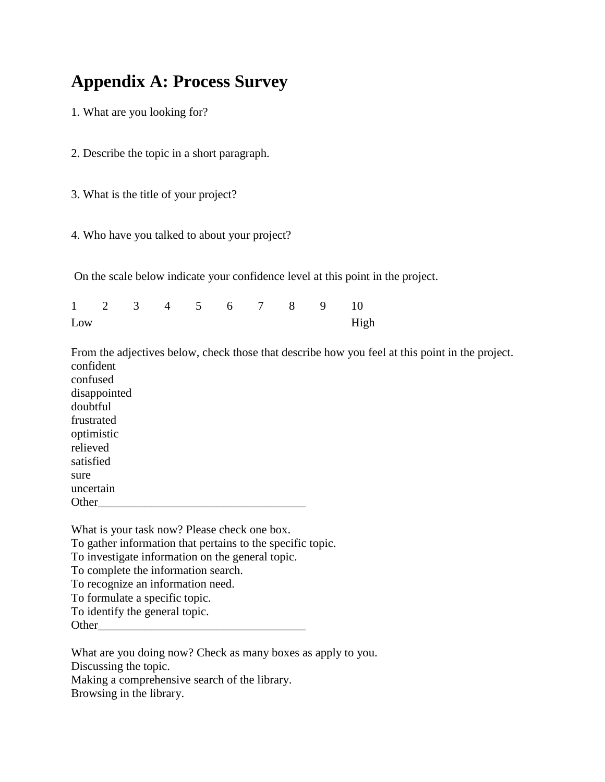# **Appendix A: Process Survey**

1. What are you looking for?

- 2. Describe the topic in a short paragraph.
- 3. What is the title of your project?
- 4. Who have you talked to about your project?

On the scale below indicate your confidence level at this point in the project.

|     |  |  |  |  | $1 \t2 \t3 \t4 \t5 \t6 \t7 \t8 \t9 \t10$ |
|-----|--|--|--|--|------------------------------------------|
| Low |  |  |  |  | High                                     |

From the adjectives below, check those that describe how you feel at this point in the project. confident

confused disappointed doubtful frustrated optimistic relieved satisfied sure uncertain Other\_\_\_\_\_\_\_\_\_\_\_\_\_\_\_\_\_\_\_\_\_\_\_\_\_\_\_\_\_\_\_\_\_\_\_

What is your task now? Please check one box. To gather information that pertains to the specific topic. To investigate information on the general topic. To complete the information search. To recognize an information need. To formulate a specific topic. To identify the general topic. Other\_\_\_\_\_\_\_\_\_\_\_\_\_\_\_\_\_\_\_\_\_\_\_\_\_\_\_\_\_\_\_\_\_\_\_

What are you doing now? Check as many boxes as apply to you. Discussing the topic. Making a comprehensive search of the library. Browsing in the library.